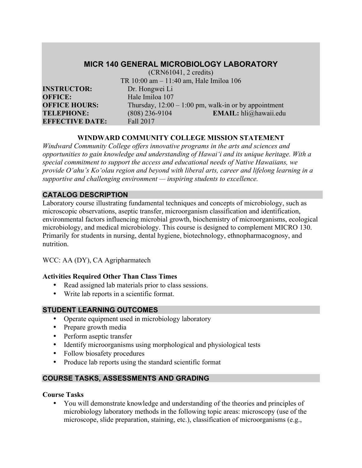## **MICR 140 GENERAL MICROBIOLOGY LABORATORY**

|                        | $(CRN61041, 2 \text{ credits})$         |                                                        |  |
|------------------------|-----------------------------------------|--------------------------------------------------------|--|
|                        | TR 10:00 am - 11:40 am, Hale Imiloa 106 |                                                        |  |
| <b>INSTRUCTOR:</b>     | Dr. Hongwei Li                          |                                                        |  |
| <b>OFFICE:</b>         | Hale Imiloa 107                         |                                                        |  |
| <b>OFFICE HOURS:</b>   |                                         | Thursday, $12:00 - 1:00$ pm, walk-in or by appointment |  |
| <b>TELEPHONE:</b>      | $(808)$ 236-9104                        | EMAIL: hli@hawaii.edu                                  |  |
| <b>EFFECTIVE DATE:</b> | Fall 2017                               |                                                        |  |

## **WINDWARD COMMUNITY COLLEGE MISSION STATEMENT**

*Windward Community College offers innovative programs in the arts and sciences and opportunities to gain knowledge and understanding of Hawai'i and its unique heritage. With a special commitment to support the access and educational needs of Native Hawaiians, we provide O'ahu's Ko'olau region and beyond with liberal arts, career and lifelong learning in a supportive and challenging environment — inspiring students to excellence.*

#### **CATALOG DESCRIPTION**

Laboratory course illustrating fundamental techniques and concepts of microbiology, such as microscopic observations, aseptic transfer, microorganism classification and identification, environmental factors influencing microbial growth, biochemistry of microorganisms, ecological microbiology, and medical microbiology. This course is designed to complement MICRO 130. Primarily for students in nursing, dental hygiene, biotechnology, ethnopharmacognosy, and nutrition.

## WCC: AA (DY), CA Agripharmatech

## **Activities Required Other Than Class Times**

- Read assigned lab materials prior to class sessions.
- Write lab reports in a scientific format.

## **STUDENT LEARNING OUTCOMES**

- Operate equipment used in microbiology laboratory
- Prepare growth media
- Perform aseptic transfer
- Identify microorganisms using morphological and physiological tests
- Follow biosafety procedures
- Produce lab reports using the standard scientific format

## **COURSE TASKS, ASSESSMENTS AND GRADING**

#### **Course Tasks**

• You will demonstrate knowledge and understanding of the theories and principles of microbiology laboratory methods in the following topic areas: microscopy (use of the microscope, slide preparation, staining, etc.), classification of microorganisms (e.g.,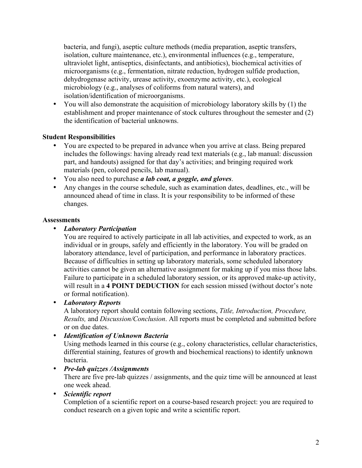bacteria, and fungi), aseptic culture methods (media preparation, aseptic transfers, isolation, culture maintenance, etc.), environmental influences (e.g., temperature, ultraviolet light, antiseptics, disinfectants, and antibiotics), biochemical activities of microorganisms (e.g., fermentation, nitrate reduction, hydrogen sulfide production, dehydrogenase activity, urease activity, exoenzyme activity, etc.), ecological microbiology (e.g., analyses of coliforms from natural waters), and isolation/identification of microorganisms.

• You will also demonstrate the acquisition of microbiology laboratory skills by (1) the establishment and proper maintenance of stock cultures throughout the semester and (2) the identification of bacterial unknowns.

## **Student Responsibilities**

- You are expected to be prepared in advance when you arrive at class. Being prepared includes the followings: having already read text materials (e.g., lab manual: discussion part, and handouts) assigned for that day's activities; and bringing required work materials (pen, colored pencils, lab manual).
- You also need to purchase *a lab coat, a goggle, and gloves*.
- Any changes in the course schedule, such as examination dates, deadlines, etc., will be announced ahead of time in class. It is your responsibility to be informed of these changes.

## **Assessments**

## • *Laboratory Participation*

You are required to actively participate in all lab activities, and expected to work, as an individual or in groups, safely and efficiently in the laboratory. You will be graded on laboratory attendance, level of participation, and performance in laboratory practices. Because of difficulties in setting up laboratory materials, some scheduled laboratory activities cannot be given an alternative assignment for making up if you miss those labs. Failure to participate in a scheduled laboratory session, or its approved make-up activity, will result in a **4 POINT DEDUCTION** for each session missed (without doctor's note or formal notification).

## • *Laboratory Reports*

A laboratory report should contain following sections, *Title, Introduction, Procedure, Results,* and *Discussion/Conclusion*. All reports must be completed and submitted before or on due dates.

## • *Identification of Unknown Bacteria*

Using methods learned in this course (e.g., colony characteristics, cellular characteristics, differential staining, features of growth and biochemical reactions) to identify unknown bacteria.

## • *Pre-lab quizzes /Assignments*

There are five pre-lab quizzes / assignments, and the quiz time will be announced at least one week ahead.

## • *Scientific report*

Completion of a scientific report on a course-based research project: you are required to conduct research on a given topic and write a scientific report.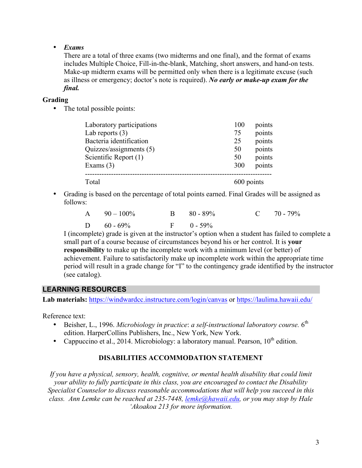## • *Exams*

There are a total of three exams (two midterms and one final), and the format of exams includes Multiple Choice, Fill-in-the-blank, Matching, short answers, and hand-on tests. Make-up midterm exams will be permitted only when there is a legitimate excuse (such as illness or emergency; doctor's note is required). *No early or make-up exam for the final.*

## **Grading**

• The total possible points:

| Laboratory participations | 100        | points |
|---------------------------|------------|--------|
| Lab reports $(3)$         | 75         | points |
| Bacteria identification   | 25         | points |
| Quizzes/assignments (5)   | 50         | points |
| Scientific Report (1)     | 50         | points |
| Exams $(3)$               | 300        | points |
| Total                     | 600 points |        |

• Grading is based on the percentage of total points earned. Final Grades will be assigned as follows:

| A $90-100\%$  | $B = 80 - 89\%$ | $C = 70 - 79\%$ |
|---------------|-----------------|-----------------|
| D $60 - 69\%$ | $F = 0 - 59\%$  |                 |

I (incomplete) grade is given at the instructor's option when a student has failed to complete a small part of a course because of circumstances beyond his or her control. It is **your responsibility** to make up the incomplete work with a minimum level (or better) of achievement. Failure to satisfactorily make up incomplete work within the appropriate time period will result in a grade change for "I" to the contingency grade identified by the instructor (see catalog).

## **LEARNING RESOURCES**

**Lab materials:** https://windwardcc.instructure.com/login/canvas or https://laulima.hawaii.edu/

Reference text:

- Beisher, L., 1996. *Microbiology in practice: a self-instructional laboratory course.* 6<sup>th</sup> edition. HarperCollins Publishers, Inc., New York, New York.
- Cappuccino et al., 2014. Microbiology: a laboratory manual. Pearson,  $10^{th}$  edition.

## **DISABILITIES ACCOMMODATION STATEMENT**

*If you have a physical, sensory, health, cognitive, or mental health disability that could limit your ability to fully participate in this class, you are encouraged to contact the Disability Specialist Counselor to discuss reasonable accommodations that will help you succeed in this class. Ann Lemke can be reached at 235-7448, lemke@hawaii.edu, or you may stop by Hale 'Akoakoa 213 for more information.*